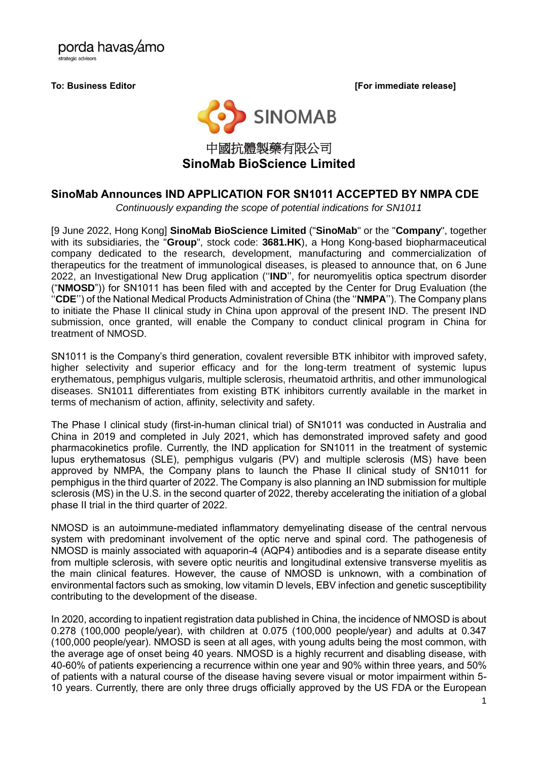porda havas amo strategic advisors

**To: Business Editor [For immediate release]**



## **SinoMab Announces IND APPLICATION FOR SN1011 ACCEPTED BY NMPA CDE**

*Continuously expanding the scope of potential indications for SN1011* 

[9 June 2022, Hong Kong] **SinoMab BioScience Limited** ("**SinoMab**" or the "**Company**", together with its subsidiaries, the "**Group**", stock code: **3681.HK**), a Hong Kong-based biopharmaceutical company dedicated to the research, development, manufacturing and commercialization of therapeutics for the treatment of immunological diseases, is pleased to announce that, on 6 June 2022, an Investigational New Drug application (''**IND**'', for neuromyelitis optica spectrum disorder ("**NMOSD**")) for SN1011 has been filed with and accepted by the Center for Drug Evaluation (the ''**CDE**'') of the National Medical Products Administration of China (the ''**NMPA**''). The Company plans to initiate the Phase II clinical study in China upon approval of the present IND. The present IND submission, once granted, will enable the Company to conduct clinical program in China for treatment of NMOSD.

SN1011 is the Company's third generation, covalent reversible BTK inhibitor with improved safety, higher selectivity and superior efficacy and for the long-term treatment of systemic lupus erythematous, pemphigus vulgaris, multiple sclerosis, rheumatoid arthritis, and other immunological diseases. SN1011 differentiates from existing BTK inhibitors currently available in the market in terms of mechanism of action, affinity, selectivity and safety.

The Phase I clinical study (first-in-human clinical trial) of SN1011 was conducted in Australia and China in 2019 and completed in July 2021, which has demonstrated improved safety and good pharmacokinetics profile. Currently, the IND application for SN1011 in the treatment of systemic lupus erythematosus (SLE), pemphigus vulgaris (PV) and multiple sclerosis (MS) have been approved by NMPA, the Company plans to launch the Phase II clinical study of SN1011 for pemphigus in the third quarter of 2022. The Company is also planning an IND submission for multiple sclerosis (MS) in the U.S. in the second quarter of 2022, thereby accelerating the initiation of a global phase II trial in the third quarter of 2022.

NMOSD is an autoimmune-mediated inflammatory demyelinating disease of the central nervous system with predominant involvement of the optic nerve and spinal cord. The pathogenesis of NMOSD is mainly associated with aquaporin-4 (AQP4) antibodies and is a separate disease entity from multiple sclerosis, with severe optic neuritis and longitudinal extensive transverse myelitis as the main clinical features. However, the cause of NMOSD is unknown, with a combination of environmental factors such as smoking, low vitamin D levels, EBV infection and genetic susceptibility contributing to the development of the disease.

In 2020, according to inpatient registration data published in China, the incidence of NMOSD is about 0.278 (100,000 people/year), with children at 0.075 (100,000 people/year) and adults at 0.347 (100,000 people/year). NMOSD is seen at all ages, with young adults being the most common, with the average age of onset being 40 years. NMOSD is a highly recurrent and disabling disease, with 40-60% of patients experiencing a recurrence within one year and 90% within three years, and 50% of patients with a natural course of the disease having severe visual or motor impairment within 5- 10 years. Currently, there are only three drugs officially approved by the US FDA or the European